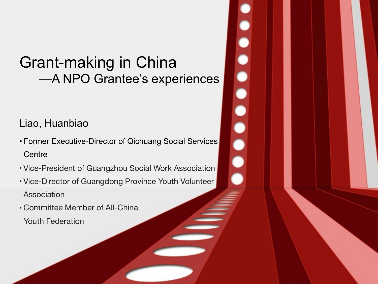# Grant-making in China —A NPO Grantee's experiences

#### Liao, Huanbiao

- Former Executive-Director of Qichuang Social Services **Centre**
- Vice-President of Guangzhou Social Work Association
- Vice-Director of Guangdong Province Youth Volunteer Association
- Committee Member of All-China

Youth Federation

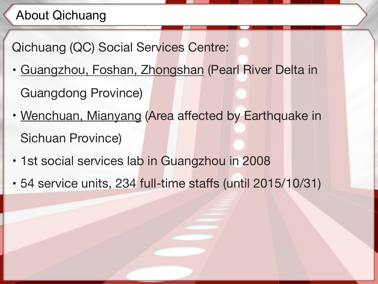## About Qichuang

Qichuang (QC) Social Services Centre:

- Guangzhou, Foshan, Zhongshan (Pearl River Delta in Guangdong Province)
- Wenchuan, Mianyang (Area affected by Earthquake in Sichuan Province)
- 1st social services lab in Guangzhou in 2008
- 54 service units, 234 full-time staffs (until 2015/10/31)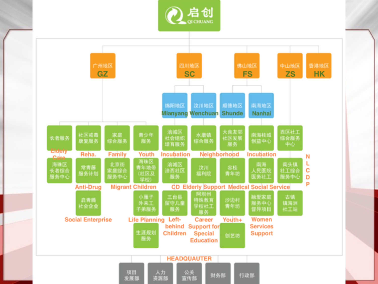

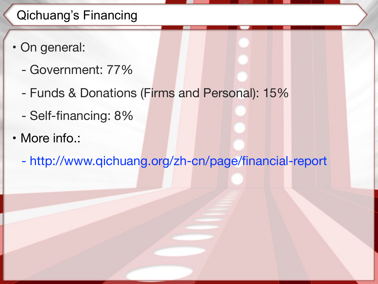## Qichuang's Financing

- On general:
	- Government: 77%
	- Funds & Donations (Firms and Personal): 15%
	- Self-financing: 8%
- More info.:
	- http://www.qichuang.org/zh-cn/page/financial-report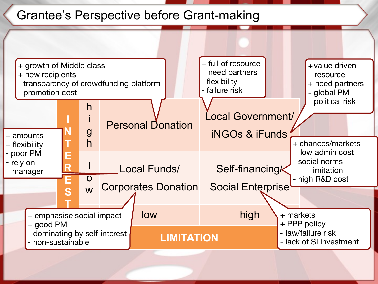#### Grantee's Perspective before Grant-making

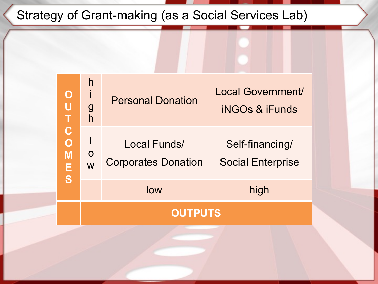# Strategy of Grant-making (as a Social Services Lab)

|                                                      | high<br>low<br><b>OUTPUTS</b> |                                            |                                                |
|------------------------------------------------------|-------------------------------|--------------------------------------------|------------------------------------------------|
| $\mathbf C$<br>$\overline{O}$<br>M<br>E <sub>S</sub> | $\mathbf O$<br>W              | Local Funds/<br><b>Corporates Donation</b> | Self-financing/<br><b>Social Enterprise</b>    |
| $\mathbf O$<br>$\bigcup$                             | h<br>$\frac{g}{h}$            | <b>Personal Donation</b>                   | Local Government/<br><b>iNGOs &amp; iFunds</b> |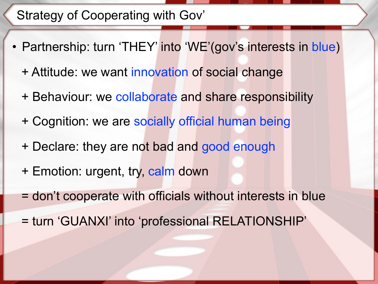### Strategy of Cooperating with Gov'

- Partnership: turn 'THEY' into 'WE'(gov's interests in blue)
	- + Attitude: we want innovation of social change
	- + Behaviour: we collaborate and share responsibility
	- + Cognition: we are socially official human being
	- + Declare: they are not bad and good enough
	- + Emotion: urgent, try, calm down
	- = don't cooperate with officials without interests in blue
	- = turn 'GUANXI' into 'professional RELATIONSHIP'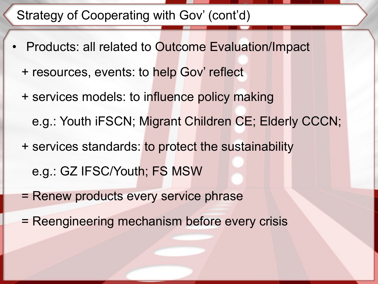#### Strategy of Cooperating with Gov' (cont'd)

- Products: all related to Outcome Evaluation/Impact + resources, events: to help Gov' reflect + services models: to influence policy making e.g.: Youth iFSCN; Migrant Children CE; Elderly CCCN; + services standards: to protect the sustainability e.g.: GZ IFSC/Youth; FS MSW
	- = Renew products every service phrase
	- = Reengineering mechanism before every crisis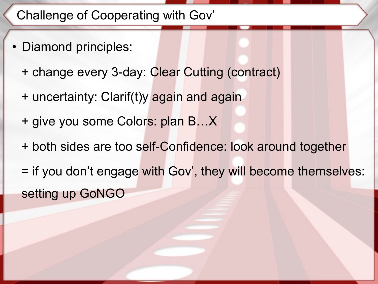### Challenge of Cooperating with Gov'

- Diamond principles:
	- + change every 3-day: Clear Cutting (contract)
	- + uncertainty: Clarif(t)y again and again
	- + give you some Colors: plan B…X
	- + both sides are too self-Confidence: look around together
	- = if you don't engage with Gov', they will become themselves: setting up GoNGO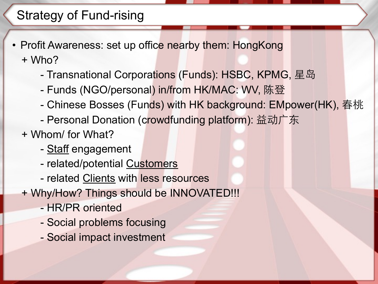## Strategy of Fund-rising

- Profit Awareness: set up office nearby them: HongKong + Who?
	- Transnational Corporations (Funds): HSBC, KPMG, 星岛
	- Funds (NGO/personal) in/from HK/MAC: WV, 陈登
	- Chinese Bosses (Funds) with HK background: EMpower(HK), 春桃
	- Personal Donation (crowdfunding platform): 益动广东
	- + Whom/ for What?
		- Staff engagement
		- related/potential Customers
		- related Clients with less resources
	- + Why/How? Things should be INNOVATED!!!
		- HR/PR oriented
		- Social problems focusing
		- Social impact investment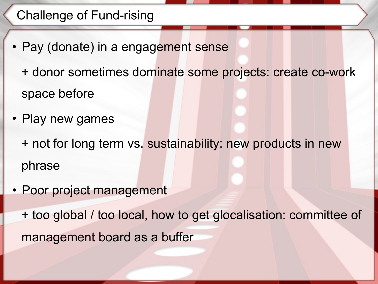## Challenge of Fund-rising

- Pay (donate) in a engagement sense
	- + donor sometimes dominate some projects: create co-work space before
- Play new games
	- + not for long term vs. sustainability: new products in new phrase
- Poor project management

+ too global / too local, how to get glocalisation: committee of management board as a buffer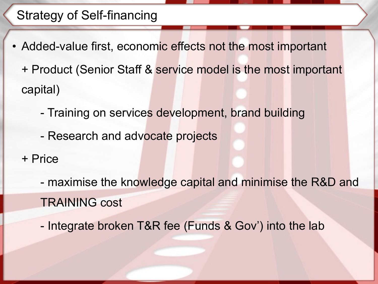## Strategy of Self-financing

- Added-value first, economic effects not the most important + Product (Senior Staff & service model is the most important capital)
	- Training on services development, brand building
	- Research and advocate projects
	- + Price
		- maximise the knowledge capital and minimise the R&D and TRAINING cost
		- Integrate broken T&R fee (Funds & Gov') into the lab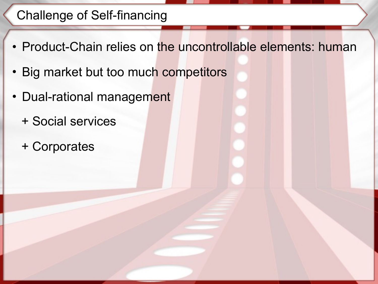## Challenge of Self-financing

- Product-Chain relies on the uncontrollable elements: human
- Big market but too much competitors
- Dual-rational management
	- + Social services
	- + Corporates